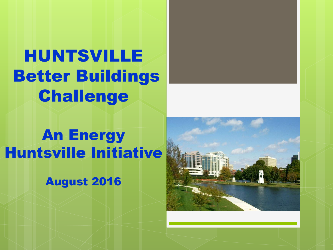# HUNTSVILLE Better Buildings Challenge

# An Energy Huntsville Initiative

August 2016

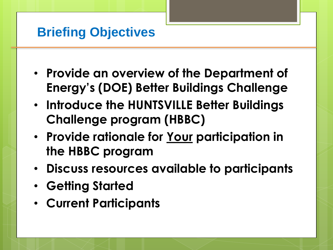## **Briefing Objectives**

- **Provide an overview of the Department of Energy's (DOE) Better Buildings Challenge**
- **Introduce the HUNTSVILLE Better Buildings Challenge program (HBBC)**
- **Provide rationale for Your participation in the HBBC program**
- **Discuss resources available to participants**
- **Getting Started**
- **Current Participants**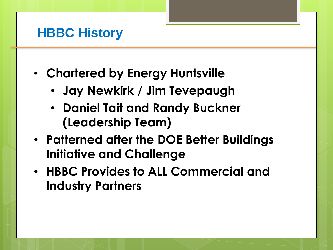#### **HBBC History**

- **Chartered by Energy Huntsville**
	- **Jay Newkirk / Jim Tevepaugh**
	- **Daniel Tait and Randy Buckner (Leadership Team)**
- **Patterned after the DOE Better Buildings Initiative and Challenge**
- **HBBC Provides to ALL Commercial and Industry Partners**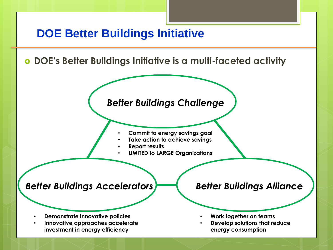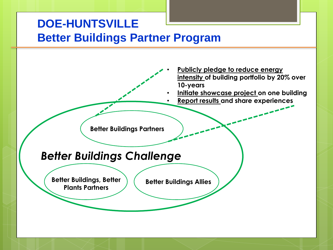#### **DOE-HUNTSVILLE Better Buildings Partner Program**

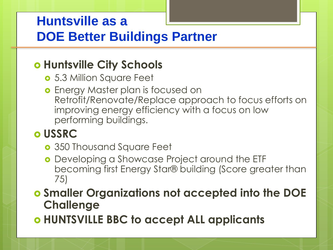# **Huntsville as a DOE Better Buildings Partner**

#### $o$  **Huntsville City Schools**

- **o** 5.3 Million Square Feet
- **o** Energy Master plan is focused on Retrofit/Renovate/Replace approach to focus efforts on improving energy efficiency with a focus on low performing buildings.

#### **USSRC**

- **o** 350 Thousand Square Feet
- **o** Developing a Showcase Project around the ETF becoming first Energy Star® building (Score greater than 75)
- **Smaller Organizations not accepted into the DOE Challenge**
- **HUNTSVILLE BBC to accept ALL applicants**